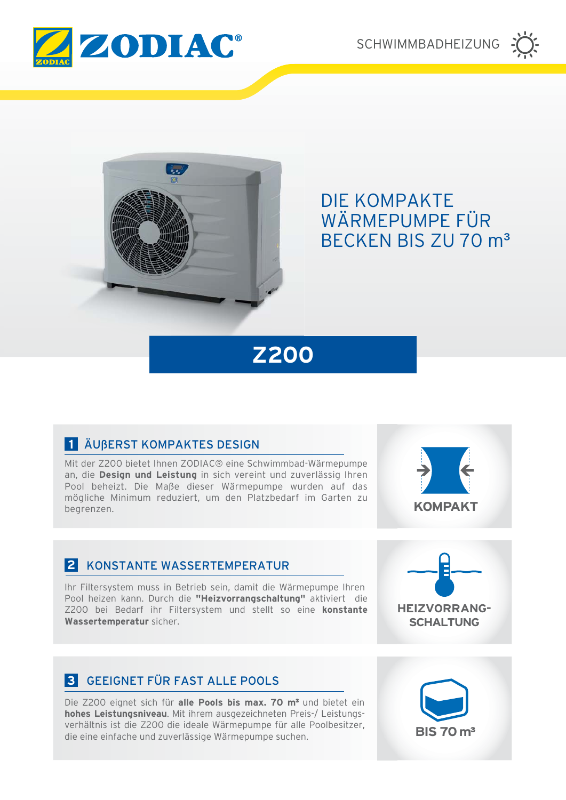

SCHWIMMBADHEIZUNG





# **DIE KOMPAKTE** WÄRMEPUMPE FÜR **BECKEN BIS ZU 70 m<sup>3</sup>**

# **Z200**

# 1 ÄUBERST KOMPAKTES DESIGN

Mit der Z200 bietet Ihnen ZODIAC® eine Schwimmbad-Wärmepumpe an, die Design und Leistung in sich vereint und zuverlässig Ihren Pool beheizt. Die Maße dieser Wärmepumpe wurden auf das mögliche Minimum reduziert, um den Platzbedarf im Garten zu bearenzen.



### 2 KONSTANTE WASSERTEMPERATUR

Ihr Filtersystem muss in Betrieb sein, damit die Wärmepumpe Ihren Pool heizen kann. Durch die "Heizvorrangschaltung" aktiviert die Z200 bei Bedarf ihr Filtersystem und stellt so eine konstante Wassertemperatur sicher.



# **3** GEEIGNET FÜR FAST ALLE POOLS

Die Z200 eignet sich für alle Pools bis max. 70 m<sup>3</sup> und bietet ein hohes Leistungsniveau. Mit ihrem ausgezeichneten Preis-/ Leistungsverhältnis ist die Z200 die ideale Wärmepumpe für alle Poolbesitzer, die eine einfache und zuverlässige Wärmepumpe suchen.